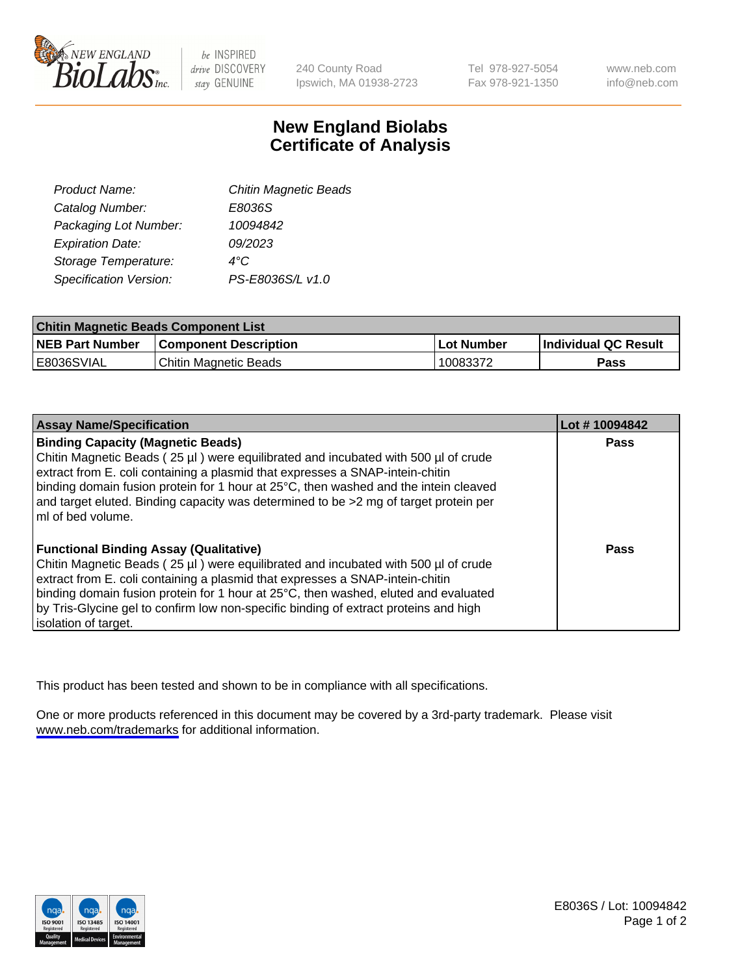

be INSPIRED drive DISCOVERY stay GENUINE

240 County Road Ipswich, MA 01938-2723 Tel 978-927-5054 Fax 978-921-1350

www.neb.com info@neb.com

## **New England Biolabs Certificate of Analysis**

| <b>Chitin Magnetic Beads</b> |
|------------------------------|
|                              |
|                              |
|                              |
|                              |
|                              |
|                              |

| <b>Chitin Magnetic Beads Component List</b> |                              |            |                      |  |
|---------------------------------------------|------------------------------|------------|----------------------|--|
| <b>NEB Part Number</b>                      | <b>Component Description</b> | Lot Number | Individual QC Result |  |
| E8036SVIAL                                  | Chitin Magnetic Beads        | 10083372   | Pass                 |  |

| <b>Assay Name/Specification</b>                                                                                                                                                                                 | Lot #10094842 |
|-----------------------------------------------------------------------------------------------------------------------------------------------------------------------------------------------------------------|---------------|
| <b>Binding Capacity (Magnetic Beads)</b><br>Chitin Magnetic Beads (25 µl) were equilibrated and incubated with 500 µl of crude<br>extract from E. coli containing a plasmid that expresses a SNAP-intein-chitin | <b>Pass</b>   |
| binding domain fusion protein for 1 hour at 25°C, then washed and the intein cleaved<br>and target eluted. Binding capacity was determined to be >2 mg of target protein per<br>l mI of bed volume.             |               |
| <b>Functional Binding Assay (Qualitative)</b>                                                                                                                                                                   | Pass          |
| Chitin Magnetic Beads (25 µl) were equilibrated and incubated with 500 µl of crude                                                                                                                              |               |
| extract from E. coli containing a plasmid that expresses a SNAP-intein-chitin<br>binding domain fusion protein for 1 hour at 25°C, then washed, eluted and evaluated                                            |               |
| by Tris-Glycine gel to confirm low non-specific binding of extract proteins and high                                                                                                                            |               |
| solation of target.                                                                                                                                                                                             |               |

This product has been tested and shown to be in compliance with all specifications.

One or more products referenced in this document may be covered by a 3rd-party trademark. Please visit <www.neb.com/trademarks>for additional information.